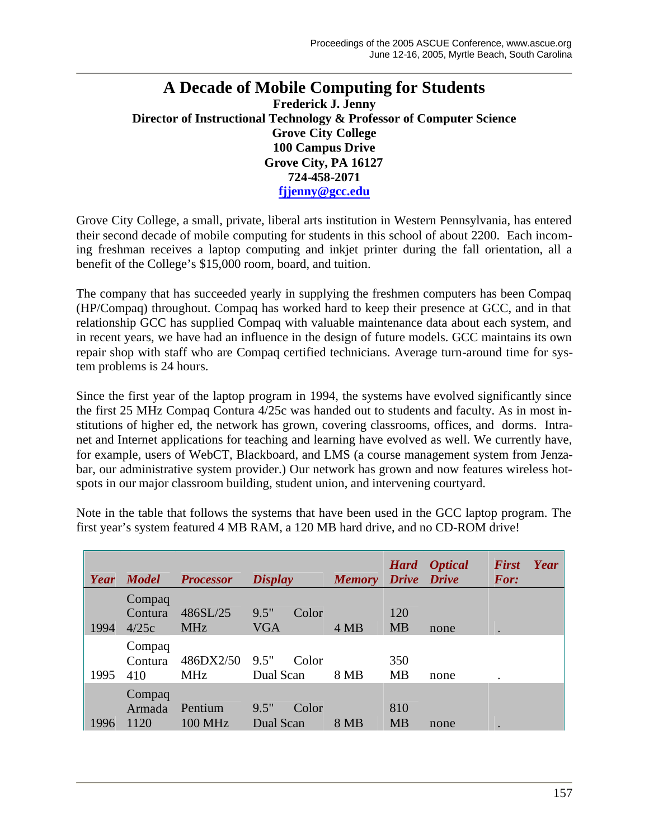## **A Decade of Mobile Computing for Students Frederick J. Jenny Director of Instructional Technology & Professor of Computer Science Grove City College 100 Campus Drive Grove City, PA 16127 724-458-2071 fjjenny@gcc.edu**

Grove City College, a small, private, liberal arts institution in Western Pennsylvania, has entered their second decade of mobile computing for students in this school of about 2200. Each incoming freshman receives a laptop computing and inkjet printer during the fall orientation, all a benefit of the College's \$15,000 room, board, and tuition.

The company that has succeeded yearly in supplying the freshmen computers has been Compaq (HP/Compaq) throughout. Compaq has worked hard to keep their presence at GCC, and in that relationship GCC has supplied Compaq with valuable maintenance data about each system, and in recent years, we have had an influence in the design of future models. GCC maintains its own repair shop with staff who are Compaq certified technicians. Average turn-around time for system problems is 24 hours.

Since the first year of the laptop program in 1994, the systems have evolved significantly since the first 25 MHz Compaq Contura 4/25c was handed out to students and faculty. As in most institutions of higher ed, the network has grown, covering classrooms, offices, and dorms. Intranet and Internet applications for teaching and learning have evolved as well. We currently have, for example, users of WebCT, Blackboard, and LMS (a course management system from Jenzabar, our administrative system provider.) Our network has grown and now features wireless hotspots in our major classroom building, student union, and intervening courtyard.

Note in the table that follows the systems that have been used in the GCC laptop program. The first year's system featured 4 MB RAM, a 120 MB hard drive, and no CD-ROM drive!

| Year | <b>Model</b>               | <b>Processor</b>          | <b>Display</b>              | <b>Memory</b> | <b>Hard</b><br>Drive Drive | <i><b>Optical</b></i> | <b>First</b><br>Year<br><b>For:</b> |
|------|----------------------------|---------------------------|-----------------------------|---------------|----------------------------|-----------------------|-------------------------------------|
| 1994 | Compaq<br>Contura<br>4/25c | 486SL/25<br><b>MHz</b>    | 9.5"<br>Color<br><b>VGA</b> | 4 MB          | 120<br><b>MB</b>           | none                  |                                     |
| 1995 | Compaq<br>Contura<br>410   | 486DX2/50<br><b>MHz</b>   | 9.5"<br>Color<br>Dual Scan  | 8 MB          | 350<br><b>MB</b>           | none                  |                                     |
| 1996 | Compaq<br>Armada<br>1120   | Pentium<br><b>100 MHz</b> | 9.5"<br>Color<br>Dual Scan  | 8 MB          | 810<br><b>MB</b>           | none                  | $\bullet$                           |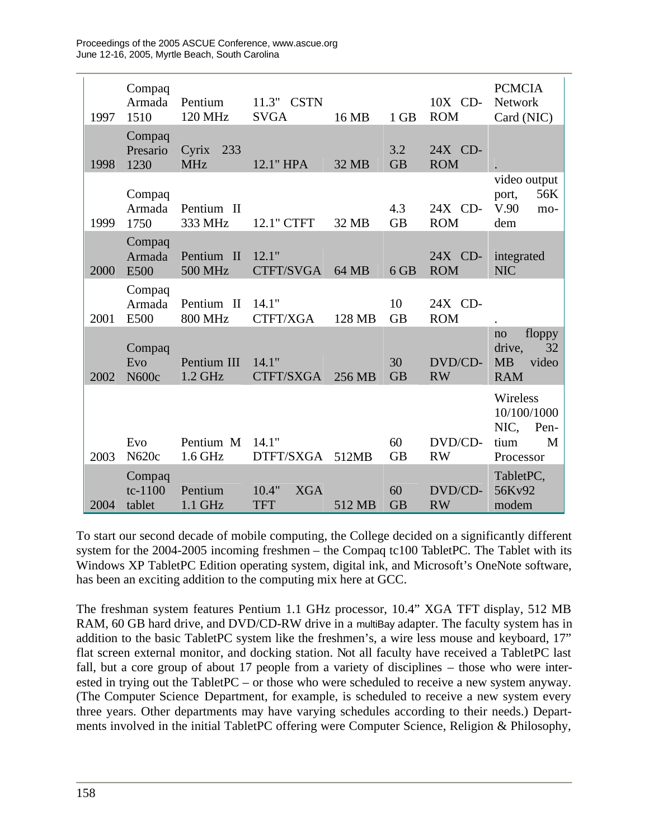| 1997 | Compaq<br>Armada<br>1510      | Pentium<br>120 MHz           | 11.3" CSTN<br><b>SVGA</b>         | 16 MB  | 1 GB             | 10X CD-<br><b>ROM</b> | <b>PCMCIA</b><br><b>Network</b><br>Card (NIC)                     |
|------|-------------------------------|------------------------------|-----------------------------------|--------|------------------|-----------------------|-------------------------------------------------------------------|
| 1998 | Compaq<br>Presario<br>1230    | Cyrix<br>233<br><b>MHz</b>   | 12.1" HPA                         | 32 MB  | 3.2<br><b>GB</b> | 24X CD-<br><b>ROM</b> |                                                                   |
| 1999 | Compaq<br>Armada<br>1750      | Pentium II<br>333 MHz        | 12.1" CTFT                        | 32 MB  | 4.3<br><b>GB</b> | 24X CD-<br><b>ROM</b> | video output<br>56K<br>port,<br>V.90<br>mo-<br>dem                |
| 2000 | Compaq<br>Armada<br>E500      | Pentium II<br><b>500 MHz</b> | 12.1"<br>CTFT/SVGA                | 64 MB  | 6 GB             | 24X CD-<br><b>ROM</b> | integrated<br><b>NIC</b>                                          |
| 2001 | Compaq<br>Armada<br>E500      | Pentium II<br><b>800 MHz</b> | 14.1"<br>CTFT/XGA                 | 128 MB | 10<br><b>GB</b>  | 24X CD-<br><b>ROM</b> |                                                                   |
| 2002 | Compaq<br>Evo<br>N600c        | Pentium III<br>1.2 GHz       | 14.1"<br>CTFT/SXGA                | 256 MB | 30<br><b>GB</b>  | DVD/CD-<br><b>RW</b>  | floppy<br>no<br>32<br>drive,<br><b>MB</b><br>video<br><b>RAM</b>  |
| 2003 | Evo<br>N620c                  | Pentium M<br>1.6 GHz         | 14.1"<br>DTFT/SXGA                | 512MB  | 60<br><b>GB</b>  | DVD/CD-<br><b>RW</b>  | Wireless<br>10/100/1000<br>NIC,<br>Pen-<br>M<br>tium<br>Processor |
| 2004 | Compaq<br>$tc-1100$<br>tablet | Pentium<br>1.1 GHz           | 10.4"<br><b>XGA</b><br><b>TFT</b> | 512 MB | 60<br><b>GB</b>  | DVD/CD-<br><b>RW</b>  | TabletPC,<br>56Kv92<br>modem                                      |

To start our second decade of mobile computing, the College decided on a significantly different system for the  $2004-2005$  incoming freshmen – the Compaq tc100 Tablet PC. The Tablet with its Windows XP TabletPC Edition operating system, digital ink, and Microsoft's OneNote software, has been an exciting addition to the computing mix here at GCC.

The freshman system features Pentium 1.1 GHz processor, 10.4" XGA TFT display, 512 MB RAM, 60 GB hard drive, and DVD/CD-RW drive in a multiBay adapter. The faculty system has in addition to the basic TabletPC system like the freshmen's, a wire less mouse and keyboard, 17" flat screen external monitor, and docking station. Not all faculty have received a TabletPC last fall, but a core group of about 17 people from a variety of disciplines – those who were interested in trying out the TabletPC – or those who were scheduled to receive a new system anyway. (The Computer Science Department, for example, is scheduled to receive a new system every three years. Other departments may have varying schedules according to their needs.) Departments involved in the initial TabletPC offering were Computer Science, Religion & Philosophy,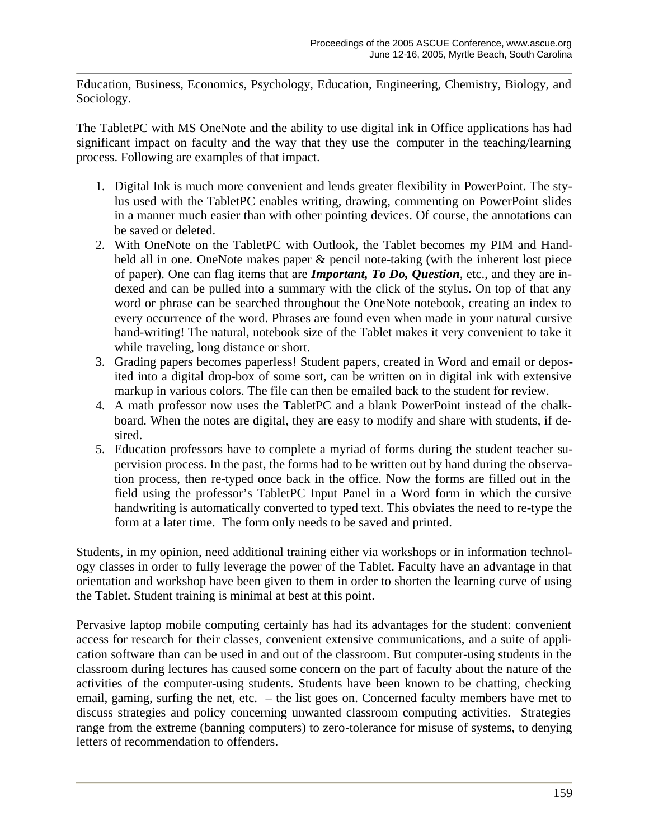Education, Business, Economics, Psychology, Education, Engineering, Chemistry, Biology, and Sociology.

The TabletPC with MS OneNote and the ability to use digital ink in Office applications has had significant impact on faculty and the way that they use the computer in the teaching/learning process. Following are examples of that impact.

- 1. Digital Ink is much more convenient and lends greater flexibility in PowerPoint. The stylus used with the TabletPC enables writing, drawing, commenting on PowerPoint slides in a manner much easier than with other pointing devices. Of course, the annotations can be saved or deleted.
- 2. With OneNote on the TabletPC with Outlook, the Tablet becomes my PIM and Handheld all in one. OneNote makes paper & pencil note-taking (with the inherent lost piece of paper). One can flag items that are *Important, To Do, Question*, etc., and they are indexed and can be pulled into a summary with the click of the stylus. On top of that any word or phrase can be searched throughout the OneNote notebook, creating an index to every occurrence of the word. Phrases are found even when made in your natural cursive hand-writing! The natural, notebook size of the Tablet makes it very convenient to take it while traveling, long distance or short.
- 3. Grading papers becomes paperless! Student papers, created in Word and email or deposited into a digital drop-box of some sort, can be written on in digital ink with extensive markup in various colors. The file can then be emailed back to the student for review.
- 4. A math professor now uses the TabletPC and a blank PowerPoint instead of the chalkboard. When the notes are digital, they are easy to modify and share with students, if desired.
- 5. Education professors have to complete a myriad of forms during the student teacher supervision process. In the past, the forms had to be written out by hand during the observation process, then re-typed once back in the office. Now the forms are filled out in the field using the professor's TabletPC Input Panel in a Word form in which the cursive handwriting is automatically converted to typed text. This obviates the need to re-type the form at a later time. The form only needs to be saved and printed.

Students, in my opinion, need additional training either via workshops or in information technology classes in order to fully leverage the power of the Tablet. Faculty have an advantage in that orientation and workshop have been given to them in order to shorten the learning curve of using the Tablet. Student training is minimal at best at this point.

Pervasive laptop mobile computing certainly has had its advantages for the student: convenient access for research for their classes, convenient extensive communications, and a suite of application software than can be used in and out of the classroom. But computer-using students in the classroom during lectures has caused some concern on the part of faculty about the nature of the activities of the computer-using students. Students have been known to be chatting, checking email, gaming, surfing the net, etc. – the list goes on. Concerned faculty members have met to discuss strategies and policy concerning unwanted classroom computing activities. Strategies range from the extreme (banning computers) to zero-tolerance for misuse of systems, to denying letters of recommendation to offenders.